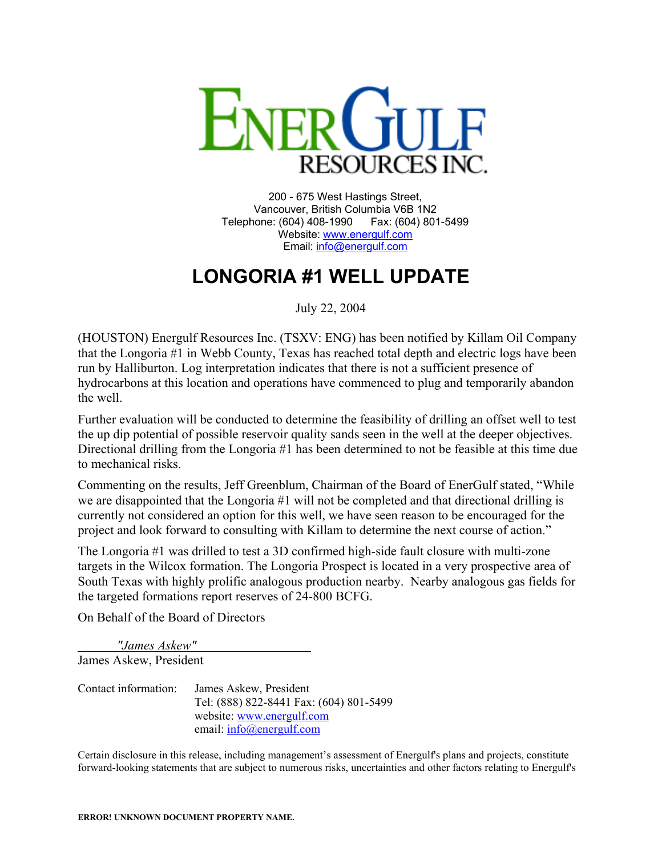

200 - 675 West Hastings Street, Vancouver, British Columbia V6B 1N2 Telephone: (604) 408-1990 Fax: (604) 801-5499 Website: [www.energulf.com](http://www.energulf.com/) Email: [info@energulf.com](mailto:info@energulf.com)

## **LONGORIA #1 WELL UPDATE**

July 22, 2004

(HOUSTON) Energulf Resources Inc. (TSXV: ENG) has been notified by Killam Oil Company that the Longoria #1 in Webb County, Texas has reached total depth and electric logs have been run by Halliburton. Log interpretation indicates that there is not a sufficient presence of hydrocarbons at this location and operations have commenced to plug and temporarily abandon the well.

Further evaluation will be conducted to determine the feasibility of drilling an offset well to test the up dip potential of possible reservoir quality sands seen in the well at the deeper objectives. Directional drilling from the Longoria #1 has been determined to not be feasible at this time due to mechanical risks.

Commenting on the results, Jeff Greenblum, Chairman of the Board of EnerGulf stated, "While we are disappointed that the Longoria #1 will not be completed and that directional drilling is currently not considered an option for this well, we have seen reason to be encouraged for the project and look forward to consulting with Killam to determine the next course of action."

The Longoria #1 was drilled to test a 3D confirmed high-side fault closure with multi-zone targets in the Wilcox formation. The Longoria Prospect is located in a very prospective area of South Texas with highly prolific analogous production nearby. Nearby analogous gas fields for the targeted formations report reserves of 24-800 BCFG.

On Behalf of the Board of Directors

*"James Askew"*  James Askew, President

Contact information: James Askew, President Tel: (888) 822-8441 Fax: (604) 801-5499 website: [www.energulf.com](http://www.energulf.com/) email: [info@energulf.com](mailto:info@energulf.com)

Certain disclosure in this release, including management's assessment of Energulf's plans and projects, constitute forward-looking statements that are subject to numerous risks, uncertainties and other factors relating to Energulf's